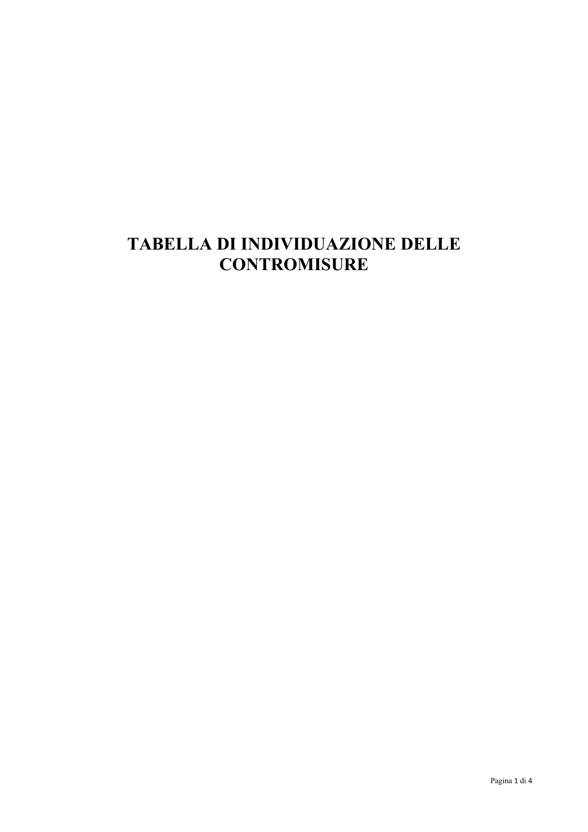## **TABELLA DI INDIVIDUAZIONE DELLE CONTROMISURE**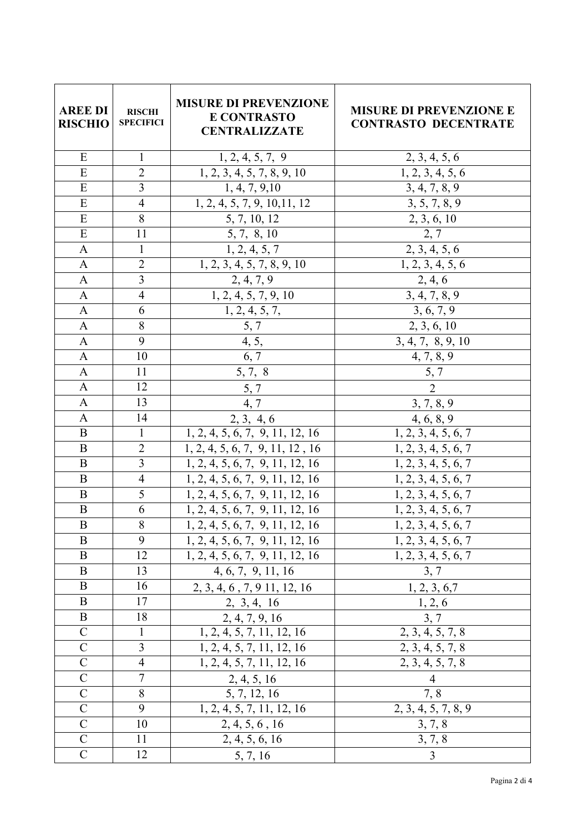| <b>AREE DI</b><br><b>RISCHIO</b> | <b>RISCHI</b><br><b>SPECIFICI</b> | <b>MISURE DI PREVENZIONE</b><br><b>E CONTRASTO</b><br><b>CENTRALIZZATE</b> | <b>MISURE DI PREVENZIONE E</b><br><b>CONTRASTO DECENTRATE</b> |
|----------------------------------|-----------------------------------|----------------------------------------------------------------------------|---------------------------------------------------------------|
| ${\bf E}$                        | $\mathbf 1$                       | 1, 2, 4, 5, 7, 9                                                           | 2, 3, 4, 5, 6                                                 |
| E                                | $\overline{2}$                    | 1, 2, 3, 4, 5, 7, 8, 9, 10                                                 | 1, 2, 3, 4, 5, 6                                              |
| E                                | $\overline{3}$                    | 1, 4, 7, 9, 10                                                             | 3, 4, 7, 8, 9                                                 |
| ${\bf E}$                        | $\overline{4}$                    | 1, 2, 4, 5, 7, 9, 10, 11, 12                                               | 3, 5, 7, 8, 9                                                 |
| E                                | $\overline{8}$                    | 5, 7, 10, 12                                                               | 2, 3, 6, 10                                                   |
| ${\bf E}$                        | 11                                | 5, 7, 8, 10                                                                | 2, 7                                                          |
| $\mathbf{A}$                     | $\mathbbm{1}$                     | $\overline{1, 2, 4, 5, 7}$                                                 | $\overline{2,3,4,5,6}$                                        |
| $\mathbf{A}$                     | $\overline{2}$                    | 1, 2, 3, 4, 5, 7, 8, 9, 10                                                 | 1, 2, 3, 4, 5, 6                                              |
| $\mathbf{A}$                     | $\overline{3}$                    | 2, 4, 7, 9                                                                 | 2, 4, 6                                                       |
| $\mathbf{A}$                     | $\overline{4}$                    | $\overline{1, 2, 4, 5, 7, 9}$ , 10                                         | 3, 4, 7, 8, 9                                                 |
| $\mathbf{A}$                     | 6                                 | 1, 2, 4, 5, 7,                                                             | 3, 6, 7, 9                                                    |
| $\mathbf{A}$                     | $\overline{8}$                    | $\overline{5,7}$                                                           | 2, 3, 6, 10                                                   |
| $\boldsymbol{\rm{A}}$            | $\overline{9}$                    | 4, 5,                                                                      | 3, 4, 7, 8, 9, 10                                             |
| $\mathbf{A}$                     | 10                                | 6, 7                                                                       | 4, 7, 8, 9                                                    |
| $\mathbf{A}$                     | 11                                | $5, 7, \overline{8}$                                                       | 5, 7                                                          |
| $\mathbf{A}$                     | 12                                | 5, 7                                                                       | $\overline{2}$                                                |
| $\mathbf{A}$                     | 13                                | 4,7                                                                        | 3, 7, 8, 9                                                    |
| $\mathbf{A}$                     | 14                                | 2, 3, 4, 6                                                                 | 4, 6, 8, 9                                                    |
| $\mathbf B$                      | $\mathbf{1}$                      | 1, 2, 4, 5, 6, 7, 9, 11, 12, 16                                            | 1, 2, 3, 4, 5, 6, 7                                           |
| $\bf{B}$                         | $\overline{2}$                    | 1, 2, 4, 5, 6, 7, 9, 11, 12, 16                                            | 1, 2, 3, 4, 5, 6, 7                                           |
| $\bf{B}$                         | $\overline{3}$                    | 1, 2, 4, 5, 6, 7, 9, 11, 12, 16                                            | 1, 2, 3, 4, 5, 6, 7                                           |
| $\mathbf B$                      | $\overline{4}$                    | 1, 2, 4, 5, 6, 7, 9, 11, 12, 16                                            | 1, 2, 3, 4, 5, 6, 7                                           |
| $\bf{B}$                         | 5                                 | 1, 2, 4, 5, 6, 7, 9, 11, 12, 16                                            | 1, 2, 3, 4, 5, 6, 7                                           |
| $\bf{B}$                         | 6                                 | 1, 2, 4, 5, 6, 7, 9, 11, 12, 16                                            | 1, 2, 3, 4, 5, 6, 7                                           |
| $\bf{B}$                         | $\overline{8}$                    | 1, 2, 4, 5, 6, 7, 9, 11, 12, 16                                            | 1, 2, 3, 4, 5, 6, 7                                           |
| B                                | 9                                 | 1, 2, 4, 5, 6, 7, 9, 11, 12, 16                                            | 1, 2, 3, 4, 5, 6, 7                                           |
| B                                | 12                                | 1, 2, 4, 5, 6, 7, 9, 11, 12, 16                                            | 1, 2, 3, 4, 5, 6, 7                                           |
| B                                | 13                                | 4, 6, 7, 9, 11, 16                                                         | 3, 7                                                          |
| B                                | 16                                | 2, 3, 4, 6, 7, 9 11, 12, 16                                                | 1, 2, 3, 6, 7                                                 |
| B                                | 17                                | 2, 3, 4, 16                                                                | 1, 2, 6                                                       |
| B                                | 18                                | 2, 4, 7, 9, 16                                                             | 3, 7                                                          |
| $\mathbf C$                      | $\mathbf{1}$                      | 1, 2, 4, 5, 7, 11, 12, 16                                                  | 2, 3, 4, 5, 7, 8                                              |
| $\mathbf C$                      | 3                                 | 1, 2, 4, 5, 7, 11, 12, 16                                                  | 2, 3, 4, 5, 7, 8                                              |
| $\mathbf C$                      | $\overline{4}$                    | 1, 2, 4, 5, 7, 11, 12, 16                                                  | 2, 3, 4, 5, 7, 8                                              |
| $\mathbf C$                      | 7                                 | $\frac{2, 4, 5, 16}{5, 7, 12, 16}$                                         | $\overline{4}$                                                |
| $\mathcal{C}$                    | 8                                 |                                                                            | 7,8                                                           |
| $\mathsf{C}$                     | 9                                 | 1, 2, 4, 5, 7, 11, 12, 16                                                  | 2, 3, 4, 5, 7, 8, 9                                           |
| $\mathcal{C}$                    | 10                                | 2, 4, 5, 6, 16                                                             | 3, 7, 8                                                       |
| $\mathbf C$                      | 11                                | 2, 4, 5, 6, 16                                                             | 3, 7, 8                                                       |
| $\mathbf C$                      | 12                                | 5, 7, 16                                                                   | 3                                                             |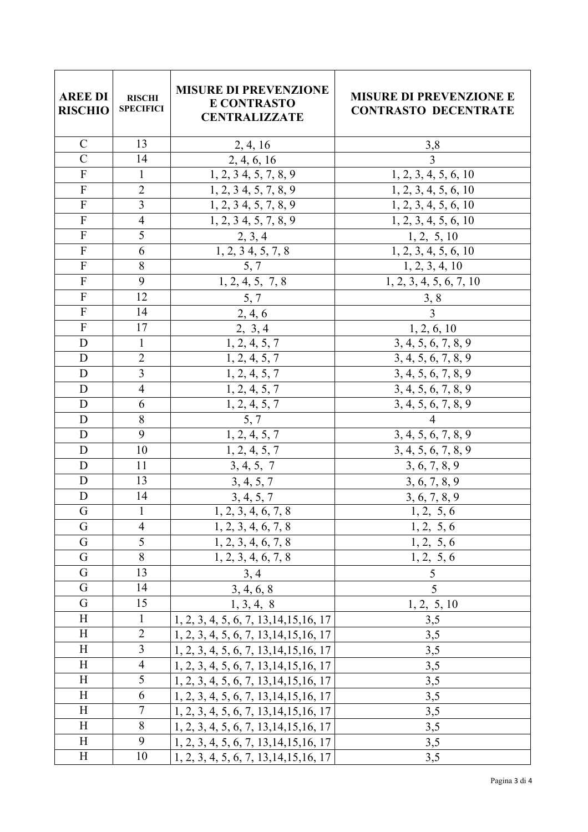| <b>AREE DI</b><br><b>RISCHIO</b> | <b>RISCHI</b><br><b>SPECIFICI</b> | <b>MISURE DI PREVENZIONE</b><br><b>E CONTRASTO</b><br><b>CENTRALIZZATE</b> | <b>MISURE DI PREVENZIONE E</b><br><b>CONTRASTO DECENTRATE</b> |
|----------------------------------|-----------------------------------|----------------------------------------------------------------------------|---------------------------------------------------------------|
| $\mathbf C$                      | 13                                | 2, 4, 16                                                                   | 3,8                                                           |
| $\overline{C}$                   | 14                                | 2, 4, 6, 16                                                                | $\overline{3}$                                                |
| $\overline{F}$                   | $\mathbf{1}$                      | 1, 2, 3, 4, 5, 7, 8, 9                                                     | 1, 2, 3, 4, 5, 6, 10                                          |
| ${\bf F}$                        | $\overline{2}$                    | 1, 2, 3, 4, 5, 7, 8, 9                                                     | 1, 2, 3, 4, 5, 6, 10                                          |
| $\overline{F}$                   | $\overline{3}$                    | 1, 2, 3, 4, 5, 7, 8, 9                                                     | 1, 2, 3, 4, 5, 6, 10                                          |
| $\overline{F}$                   | $\overline{4}$                    | 1, 2, 3, 4, 5, 7, 8, 9                                                     | 1, 2, 3, 4, 5, 6, 10                                          |
| $\rm F$                          | $\overline{5}$                    | 2, 3, 4                                                                    | 1, 2, 5, 10                                                   |
| ${\bf F}$                        | $\overline{6}$                    | $\overline{1,2,34}, 5, 7, 8$                                               | 1, 2, 3, 4, 5, 6, 10                                          |
| $\overline{F}$                   | $\overline{8}$                    | 5, 7                                                                       | 1, 2, 3, 4, 10                                                |
| $\boldsymbol{\mathrm{F}}$        | 9                                 | 1, 2, 4, 5, 7, 8                                                           | 1, 2, 3, 4, 5, 6, 7, 10                                       |
| $\overline{F}$                   | 12                                | 5, 7                                                                       | 3, 8                                                          |
| $\boldsymbol{\mathrm{F}}$        | 14                                | 2, 4, 6                                                                    | $\overline{3}$                                                |
| $\overline{F}$                   | 17                                | $\frac{2, 3, 4}{1, 2, 4, 5, 7}$                                            | $\frac{1, 2, 6, 10}{3, 4, 5, 6, 7, 8, 9}$                     |
| $\mathbf D$                      | $\mathbf{1}$                      |                                                                            |                                                               |
| $\mathbf D$                      | $\overline{2}$                    | 1, 2, 4, 5, 7                                                              | 3, 4, 5, 6, 7, 8, 9                                           |
| $\mathbf D$                      | $\overline{3}$                    | 1, 2, 4, 5, 7                                                              | 3, 4, 5, 6, 7, 8, 9                                           |
| D                                | $\overline{4}$                    | 1, 2, 4, 5, 7                                                              | 3, 4, 5, 6, 7, 8, 9                                           |
| $\mathbf D$                      | 6                                 | 1, 2, 4, 5, 7                                                              | 3, 4, 5, 6, 7, 8, 9                                           |
| $\mathbf D$                      | 8                                 | 5, 7                                                                       | $\overline{\mathcal{A}}$                                      |
| $\mathbf D$                      | 9                                 | 1, 2, 4, 5, 7                                                              | 3, 4, 5, 6, 7, 8, 9                                           |
| D                                | 10                                | 1, 2, 4, 5, 7                                                              | 3, 4, 5, 6, 7, 8, 9                                           |
| D                                | 11                                | 3, 4, 5, 7                                                                 | 3, 6, 7, 8, 9                                                 |
| D                                | 13                                | 3, 4, 5, 7                                                                 | 3, 6, 7, 8, 9                                                 |
| $\mathbf D$                      | 14                                | 3, 4, 5, 7                                                                 | 3, 6, 7, 8, 9                                                 |
| $\mathbf G$<br>G                 | $\overline{4}$                    | $\overline{1,2,3,4,6,7,8}$<br>1, 2, 3, 4, 6, 7, 8                          | 1, 2, 5, 6                                                    |
| G                                |                                   |                                                                            | 1, 2, 5, 6                                                    |
| G                                | 5<br>8                            | 1, 2, 3, 4, 6, 7, 8                                                        | 1, 2, 5, 6<br>$\bar{1}, 2, 5, 6$                              |
| $\mathbf G$                      | 13                                | 1, 2, 3, 4, 6, 7, 8                                                        | 5                                                             |
| G                                | 14                                | 3, 4                                                                       | 5                                                             |
| G                                | 15                                | 3, 4, 6, 8<br>1, 3, 4, 8                                                   |                                                               |
| H                                | $\mathbf{1}$                      | 1, 2, 3, 4, 5, 6, 7, 13, 14, 15, 16, 17                                    | 1, 2, 5, 10<br>3,5                                            |
| H                                | $\overline{2}$                    | 1, 2, 3, 4, 5, 6, 7, 13, 14, 15, 16, 17                                    | 3,5                                                           |
| H                                | 3                                 | 1, 2, 3, 4, 5, 6, 7, 13, 14, 15, 16, 17                                    | 3,5                                                           |
| H                                | $\overline{4}$                    | $1, 2, 3, 4, 5, 6, 7, 13, 14, 15, 16, 17$                                  | 3,5                                                           |
| H                                | 5                                 | 1, 2, 3, 4, 5, 6, 7, 13, 14, 15, 16, 17                                    | 3,5                                                           |
| H                                | 6                                 | $1, 2, 3, 4, 5, 6, 7, 13, 14, 15, 16, 17$                                  | 3,5                                                           |
| H                                | $\sqrt{ }$                        | 1, 2, 3, 4, 5, 6, 7, 13, 14, 15, 16, 17                                    | 3,5                                                           |
| H                                | 8                                 | 1, 2, 3, 4, 5, 6, 7, 13, 14, 15, 16, 17                                    | 3,5                                                           |
| H                                | 9                                 | $1, 2, 3, 4, 5, 6, 7, 13, 14, 15, 16, 17$                                  | 3,5                                                           |
| H                                | 10                                | 1, 2, 3, 4, 5, 6, 7, 13, 14, 15, 16, 17                                    | 3,5                                                           |